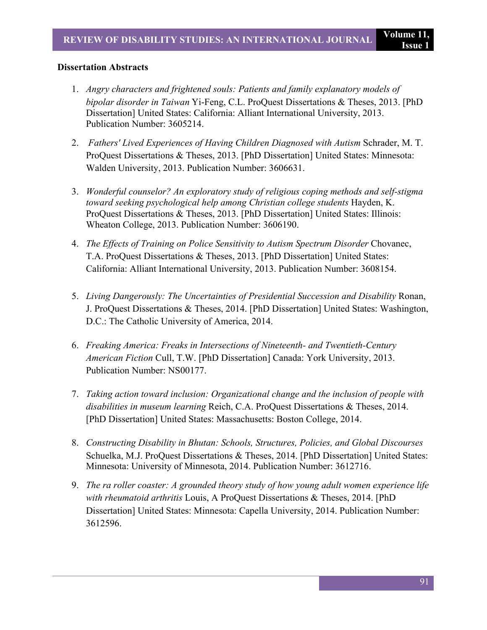## **Dissertation Abstracts**

- 1. *Angry characters and frightened souls: Patients and family explanatory models of bipolar disorder in Taiwan* Yi-Feng, C.L. ProQuest Dissertations & Theses, 2013. [PhD Dissertation] United States: California: Alliant International University, 2013. Publication Number: 3605214.
- 2. *Fathers' Lived Experiences of Having Children Diagnosed with Autism* Schrader, M. T. ProQuest Dissertations & Theses, 2013. [PhD Dissertation] United States: Minnesota: Walden University, 2013. Publication Number: 3606631.
- 3. *Wonderful counselor? An exploratory study of religious coping methods and self-stigma toward seeking psychological help among Christian college students* Hayden, K. ProQuest Dissertations & Theses, 2013. [PhD Dissertation] United States: Illinois: Wheaton College, 2013. Publication Number: 3606190.
- 4. *The Effects of Training on Police Sensitivity to Autism Spectrum Disorder* Chovanec, T.A. ProQuest Dissertations & Theses, 2013. [PhD Dissertation] United States: California: Alliant International University, 2013. Publication Number: 3608154.
- 5. *Living Dangerously: The Uncertainties of Presidential Succession and Disability* Ronan, J. ProQuest Dissertations & Theses, 2014. [PhD Dissertation] United States: Washington, D.C.: The Catholic University of America, 2014.
- 6. *Freaking America: Freaks in Intersections of Nineteenth- and Twentieth-Century American Fiction* Cull, T.W. [PhD Dissertation] Canada: York University, 2013. Publication Number: NS00177.
- 7. *Taking action toward inclusion: Organizational change and the inclusion of people with disabilities in museum learning* Reich, C.A. ProQuest Dissertations & Theses, 2014. [PhD Dissertation] United States: Massachusetts: Boston College, 2014.
- 8. *Constructing Disability in Bhutan: Schools, Structures, Policies, and Global Discourses* Schuelka, M.J. ProQuest Dissertations & Theses, 2014. [PhD Dissertation] United States: Minnesota: University of Minnesota, 2014. Publication Number: 3612716.
- 9. *The ra roller coaster: A grounded theory study of how young adult women experience life with rheumatoid arthritis* Louis, A ProQuest Dissertations & Theses, 2014. [PhD Dissertation] United States: Minnesota: Capella University, 2014. Publication Number: 3612596.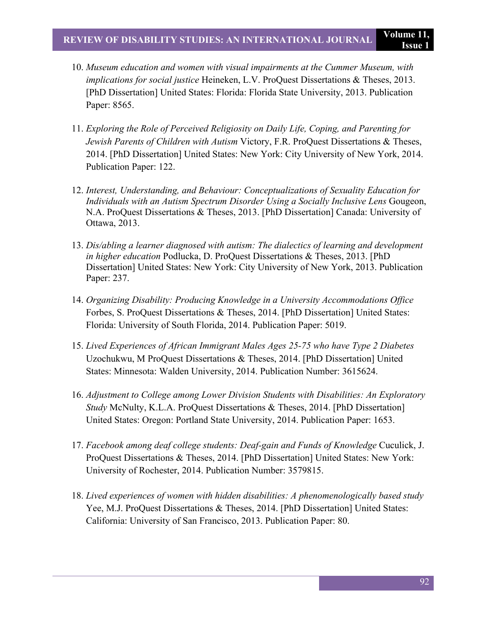- 10. *Museum education and women with visual impairments at the Cummer Museum, with implications for social justice* Heineken, L.V. ProQuest Dissertations & Theses, 2013. [PhD Dissertation] United States: Florida: Florida State University, 2013. Publication Paper: 8565.
- 11. *Exploring the Role of Perceived Religiosity on Daily Life, Coping, and Parenting for Jewish Parents of Children with Autism* Victory, F.R. ProQuest Dissertations & Theses, 2014. [PhD Dissertation] United States: New York: City University of New York, 2014. Publication Paper: 122.
- 12. *Interest, Understanding, and Behaviour: Conceptualizations of Sexuality Education for Individuals with an Autism Spectrum Disorder Using a Socially Inclusive Lens* Gougeon, N.A. ProQuest Dissertations & Theses, 2013. [PhD Dissertation] Canada: University of Ottawa, 2013.
- 13. *Dis/abling a learner diagnosed with autism: The dialectics of learning and development in higher education* Podlucka, D. ProQuest Dissertations & Theses, 2013. [PhD Dissertation] United States: New York: City University of New York, 2013. Publication Paper: 237.
- 14. *Organizing Disability: Producing Knowledge in a University Accommodations Office*  Forbes, S. ProQuest Dissertations & Theses, 2014. [PhD Dissertation] United States: Florida: University of South Florida, 2014. Publication Paper: 5019.
- 15. *Lived Experiences of African Immigrant Males Ages 25-75 who have Type 2 Diabetes* Uzochukwu, M ProQuest Dissertations & Theses, 2014. [PhD Dissertation] United States: Minnesota: Walden University, 2014. Publication Number: 3615624.
- 16. *Adjustment to College among Lower Division Students with Disabilities: An Exploratory Study* McNulty, K.L.A. ProQuest Dissertations & Theses, 2014. [PhD Dissertation] United States: Oregon: Portland State University, 2014. Publication Paper: 1653.
- 17. *Facebook among deaf college students: Deaf-gain and Funds of Knowledge* Cuculick, J. ProQuest Dissertations & Theses, 2014. [PhD Dissertation] United States: New York: University of Rochester, 2014. Publication Number: 3579815.
- 18. *Lived experiences of women with hidden disabilities: A phenomenologically based study* Yee, M.J. ProQuest Dissertations & Theses, 2014. [PhD Dissertation] United States: California: University of San Francisco, 2013. Publication Paper: 80.